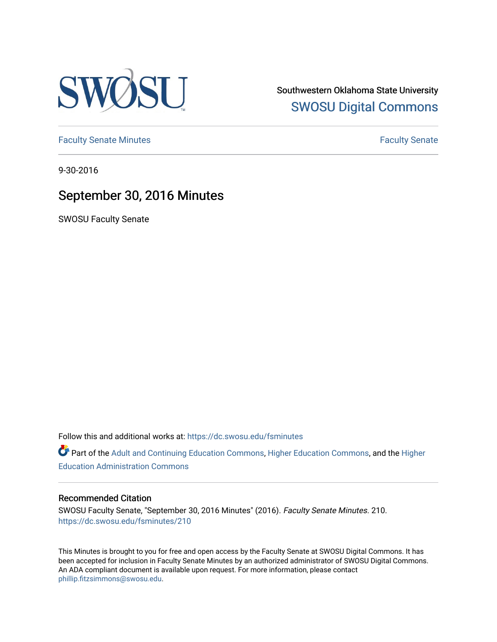

Southwestern Oklahoma State University [SWOSU Digital Commons](https://dc.swosu.edu/) 

[Faculty Senate Minutes](https://dc.swosu.edu/fsminutes) **Faculty** Senate Minutes

9-30-2016

# September 30, 2016 Minutes

SWOSU Faculty Senate

Follow this and additional works at: [https://dc.swosu.edu/fsminutes](https://dc.swosu.edu/fsminutes?utm_source=dc.swosu.edu%2Ffsminutes%2F210&utm_medium=PDF&utm_campaign=PDFCoverPages) 

Part of the [Adult and Continuing Education Commons,](http://network.bepress.com/hgg/discipline/1375?utm_source=dc.swosu.edu%2Ffsminutes%2F210&utm_medium=PDF&utm_campaign=PDFCoverPages) [Higher Education Commons,](http://network.bepress.com/hgg/discipline/1245?utm_source=dc.swosu.edu%2Ffsminutes%2F210&utm_medium=PDF&utm_campaign=PDFCoverPages) and the [Higher](http://network.bepress.com/hgg/discipline/791?utm_source=dc.swosu.edu%2Ffsminutes%2F210&utm_medium=PDF&utm_campaign=PDFCoverPages) [Education Administration Commons](http://network.bepress.com/hgg/discipline/791?utm_source=dc.swosu.edu%2Ffsminutes%2F210&utm_medium=PDF&utm_campaign=PDFCoverPages) 

#### Recommended Citation

SWOSU Faculty Senate, "September 30, 2016 Minutes" (2016). Faculty Senate Minutes. 210. [https://dc.swosu.edu/fsminutes/210](https://dc.swosu.edu/fsminutes/210?utm_source=dc.swosu.edu%2Ffsminutes%2F210&utm_medium=PDF&utm_campaign=PDFCoverPages) 

This Minutes is brought to you for free and open access by the Faculty Senate at SWOSU Digital Commons. It has been accepted for inclusion in Faculty Senate Minutes by an authorized administrator of SWOSU Digital Commons. An ADA compliant document is available upon request. For more information, please contact [phillip.fitzsimmons@swosu.edu](mailto:phillip.fitzsimmons@swosu.edu).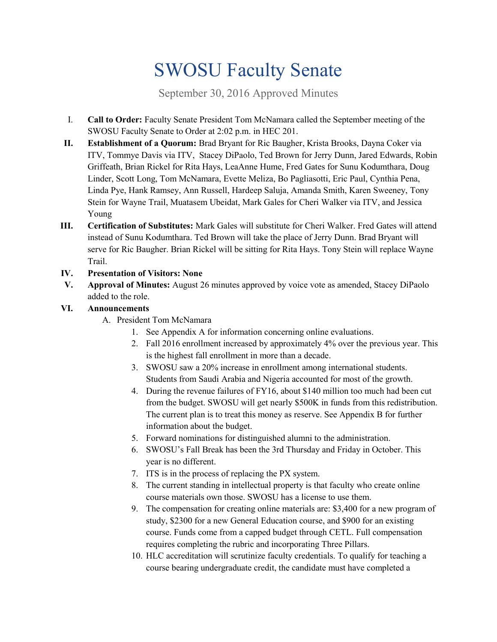# SWOSU Faculty Senate

September 30, 2016 Approved Minutes

- I. **Call to Order:** Faculty Senate President Tom McNamara called the September meeting of the SWOSU Faculty Senate to Order at 2:02 p.m. in HEC 201.
- **II. Establishment of a Quorum:** Brad Bryant for Ric Baugher, Krista Brooks, Dayna Coker via ITV, Tommye Davis via ITV, Stacey DiPaolo, Ted Brown for Jerry Dunn, Jared Edwards, Robin Griffeath, Brian Rickel for Rita Hays, LeaAnne Hume, Fred Gates for Sunu Kodumthara, Doug Linder, Scott Long, Tom McNamara, Evette Meliza, Bo Pagliasotti, Eric Paul, Cynthia Pena, Linda Pye, Hank Ramsey, Ann Russell, Hardeep Saluja, Amanda Smith, Karen Sweeney, Tony Stein for Wayne Trail, Muatasem Ubeidat, Mark Gales for Cheri Walker via ITV, and Jessica Young
- **III. Certification of Substitutes:** Mark Gales will substitute for Cheri Walker. Fred Gates will attend instead of Sunu Kodumthara. Ted Brown will take the place of Jerry Dunn. Brad Bryant will serve for Ric Baugher. Brian Rickel will be sitting for Rita Hays. Tony Stein will replace Wayne Trail.

#### **IV. Presentation of Visitors: None**

**V. Approval of Minutes:** August 26 minutes approved by voice vote as amended, Stacey DiPaolo added to the role.

#### **VI. Announcements**

- A. President Tom McNamara
	- 1. See Appendix A for information concerning online evaluations.
	- 2. Fall 2016 enrollment increased by approximately 4% over the previous year. This is the highest fall enrollment in more than a decade.
	- 3. SWOSU saw a 20% increase in enrollment among international students. Students from Saudi Arabia and Nigeria accounted for most of the growth.
	- 4. During the revenue failures of FY16, about \$140 million too much had been cut from the budget. SWOSU will get nearly \$500K in funds from this redistribution. The current plan is to treat this money as reserve. See Appendix B for further information about the budget.
	- 5. Forward nominations for distinguished alumni to the administration.
	- 6. SWOSU's Fall Break has been the 3rd Thursday and Friday in October. This year is no different.
	- 7. ITS is in the process of replacing the PX system.
	- 8. The current standing in intellectual property is that faculty who create online course materials own those. SWOSU has a license to use them.
	- 9. The compensation for creating online materials are: \$3,400 for a new program of study, \$2300 for a new General Education course, and \$900 for an existing course. Funds come from a capped budget through CETL. Full compensation requires completing the rubric and incorporating Three Pillars.
	- 10. HLC accreditation will scrutinize faculty credentials. To qualify for teaching a course bearing undergraduate credit, the candidate must have completed a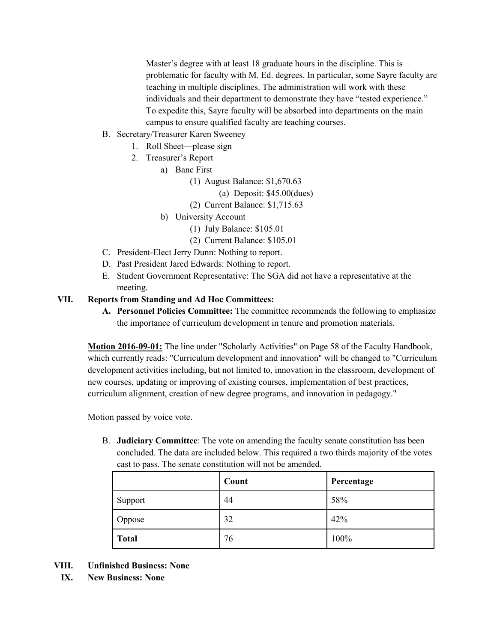Master's degree with at least 18 graduate hours in the discipline. This is problematic for faculty with M. Ed. degrees. In particular, some Sayre faculty are teaching in multiple disciplines. The administration will work with these individuals and their department to demonstrate they have "tested experience." To expedite this, Sayre faculty will be absorbed into departments on the main campus to ensure qualified faculty are teaching courses.

- B. Secretary/Treasurer Karen Sweeney
	- 1. Roll Sheet—please sign
	- 2. Treasurer's Report
		- a) Banc First
			- (1) August Balance: \$1,670.63
				- (a) Deposit: \$45.00(dues)
			- (2) Current Balance: \$1,715.63
			- b) University Account
				- (1) July Balance: \$105.01
				- (2) Current Balance: \$105.01
- C. President-Elect Jerry Dunn: Nothing to report.
- D. Past President Jared Edwards: Nothing to report.
- E. Student Government Representative: The SGA did not have a representative at the meeting.

#### **VII. Reports from Standing and Ad Hoc Committees:**

**A. Personnel Policies Committee:** The committee recommends the following to emphasize the importance of curriculum development in tenure and promotion materials.

**Motion 2016-09-01:** The line under "Scholarly Activities" on Page 58 of the Faculty Handbook, which currently reads: "Curriculum development and innovation" will be changed to "Curriculum development activities including, but not limited to, innovation in the classroom, development of new courses, updating or improving of existing courses, implementation of best practices, curriculum alignment, creation of new degree programs, and innovation in pedagogy."

Motion passed by voice vote.

B. **Judiciary Committee**: The vote on amending the faculty senate constitution has been concluded. The data are included below. This required a two thirds majority of the votes cast to pass. The senate constitution will not be amended.

|              | Count | Percentage |
|--------------|-------|------------|
| Support      | 44    | 58%        |
| Oppose       | 32    | 42%        |
| <b>Total</b> | 76    | 100%       |

- **VIII. Unfinished Business: None**
	- **IX. New Business: None**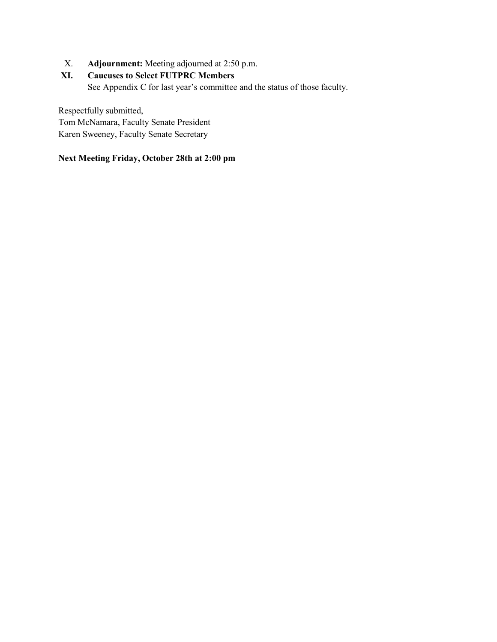X. **Adjournment:** Meeting adjourned at 2:50 p.m.

#### **XI. Caucuses to Select FUTPRC Members**

See Appendix C for last year's committee and the status of those faculty.

Respectfully submitted, Tom McNamara, Faculty Senate President Karen Sweeney, Faculty Senate Secretary

#### **Next Meeting Friday, October 28th at 2:00 pm**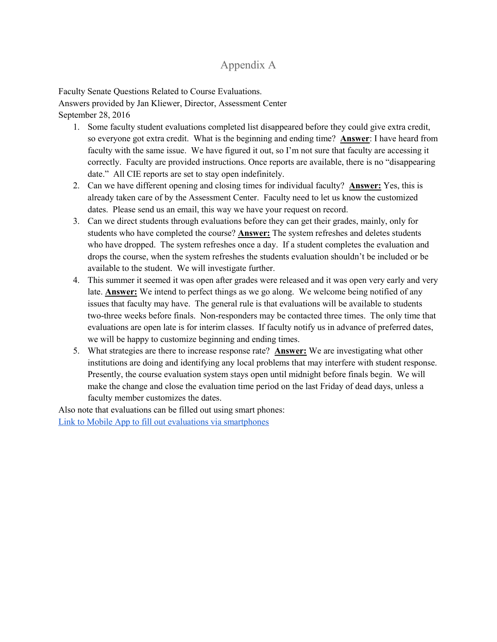### Appendix A

Faculty Senate Questions Related to Course Evaluations.

Answers provided by Jan Kliewer, Director, Assessment Center September 28, 2016

- 1. Some faculty student evaluations completed list disappeared before they could give extra credit, so everyone got extra credit. What is the beginning and ending time? **Answer**: I have heard from faculty with the same issue. We have figured it out, so I'm not sure that faculty are accessing it correctly. Faculty are provided instructions. Once reports are available, there is no "disappearing date." All CIE reports are set to stay open indefinitely.
- 2. Can we have different opening and closing times for individual faculty? **Answer:** Yes, this is already taken care of by the Assessment Center. Faculty need to let us know the customized dates. Please send us an email, this way we have your request on record.
- 3. Can we direct students through evaluations before they can get their grades, mainly, only for students who have completed the course? **Answer:** The system refreshes and deletes students who have dropped. The system refreshes once a day. If a student completes the evaluation and drops the course, when the system refreshes the students evaluation shouldn't be included or be available to the student. We will investigate further.
- 4. This summer it seemed it was open after grades were released and it was open very early and very late. **Answer:** We intend to perfect things as we go along. We welcome being notified of any issues that faculty may have. The general rule is that evaluations will be available to students two-three weeks before finals. Non-responders may be contacted three times. The only time that evaluations are open late is for interim classes. If faculty notify us in advance of preferred dates, we will be happy to customize beginning and ending times.
- 5. What strategies are there to increase response rate? **Answer:** We are investigating what other institutions are doing and identifying any local problems that may interfere with student response. Presently, the course evaluation system stays open until midnight before finals begin. We will make the change and close the evaluation time period on the last Friday of dead days, unless a faculty member customizes the dates.

Also note that evaluations can be filled out using smart phones: [Link to Mobile App to fill out evaluations via smartphones](http://help.evaluationkit.com/hc/en-us/articles/202696455-Mobile-App)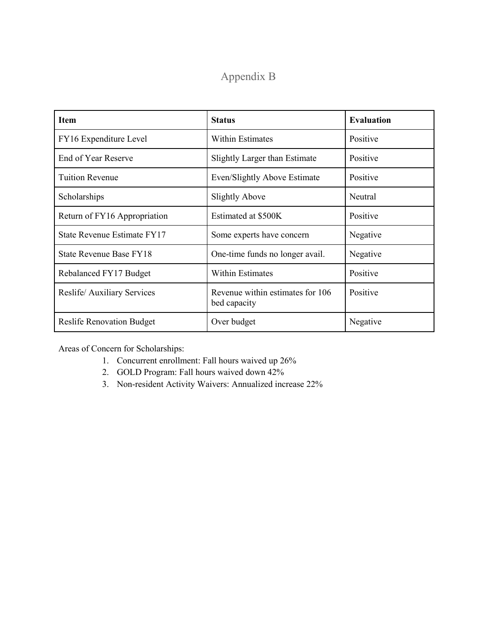# Appendix B

| <b>Item</b>                      | <b>Status</b>                                    | <b>Evaluation</b> |
|----------------------------------|--------------------------------------------------|-------------------|
| FY16 Expenditure Level           | <b>Within Estimates</b>                          | Positive          |
| End of Year Reserve              | Slightly Larger than Estimate                    | Positive          |
| <b>Tuition Revenue</b>           | Even/Slightly Above Estimate                     | Positive          |
| Scholarships                     | <b>Slightly Above</b>                            | Neutral           |
| Return of FY16 Appropriation     | Estimated at \$500K                              | Positive          |
| State Revenue Estimate FY17      | Some experts have concern                        | Negative          |
| State Revenue Base FY18          | One-time funds no longer avail.                  | Negative          |
| Rebalanced FY17 Budget           | <b>Within Estimates</b>                          | Positive          |
| Reslife/Auxiliary Services       | Revenue within estimates for 106<br>bed capacity | Positive          |
| <b>Reslife Renovation Budget</b> | Over budget                                      | Negative          |

Areas of Concern for Scholarships:

- 1. Concurrent enrollment: Fall hours waived up 26%
- 2. GOLD Program: Fall hours waived down 42%
- 3. Non-resident Activity Waivers: Annualized increase 22%